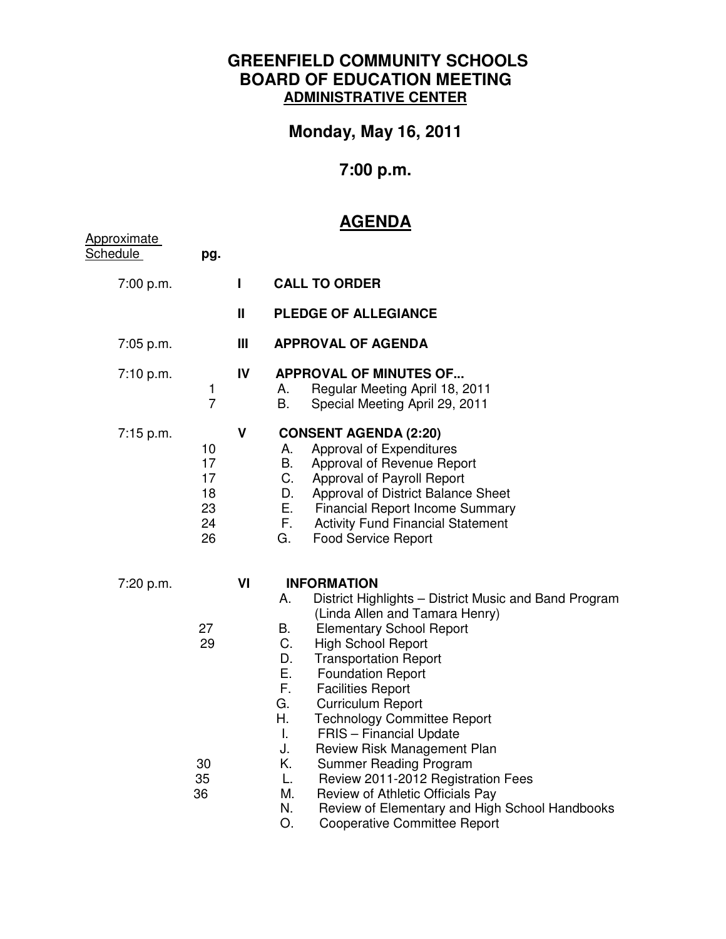## **GREENFIELD COMMUNITY SCHOOLS BOARD OF EDUCATION MEETING ADMINISTRATIVE CENTER**

**Monday, May 16, 2011** 

## **7:00 p.m.**

## **AGENDA**

| <b>Approximate</b><br><b>Schedule</b> | pg.                                    |              |                                                                                                                                                                                                                                                                                                                                                                                                                                                                                                                                                                                                                                                                                                        |
|---------------------------------------|----------------------------------------|--------------|--------------------------------------------------------------------------------------------------------------------------------------------------------------------------------------------------------------------------------------------------------------------------------------------------------------------------------------------------------------------------------------------------------------------------------------------------------------------------------------------------------------------------------------------------------------------------------------------------------------------------------------------------------------------------------------------------------|
| 7:00 p.m.                             |                                        | L            | <b>CALL TO ORDER</b>                                                                                                                                                                                                                                                                                                                                                                                                                                                                                                                                                                                                                                                                                   |
|                                       |                                        | $\mathbf{H}$ | <b>PLEDGE OF ALLEGIANCE</b>                                                                                                                                                                                                                                                                                                                                                                                                                                                                                                                                                                                                                                                                            |
| $7:05$ p.m.                           |                                        | Ш            | <b>APPROVAL OF AGENDA</b>                                                                                                                                                                                                                                                                                                                                                                                                                                                                                                                                                                                                                                                                              |
| 7:10 p.m.                             | 1<br>$\overline{7}$                    | IV           | <b>APPROVAL OF MINUTES OF</b><br>Regular Meeting April 18, 2011<br>А.<br>B.<br>Special Meeting April 29, 2011                                                                                                                                                                                                                                                                                                                                                                                                                                                                                                                                                                                          |
| 7:15 p.m.                             | 10<br>17<br>17<br>18<br>23<br>24<br>26 | $\mathbf v$  | <b>CONSENT AGENDA (2:20)</b><br>Approval of Expenditures<br>А.<br>В.<br>Approval of Revenue Report<br>C.<br>Approval of Payroll Report<br>D.<br>Approval of District Balance Sheet<br>Е.<br><b>Financial Report Income Summary</b><br>Е.<br><b>Activity Fund Financial Statement</b><br>G.<br><b>Food Service Report</b>                                                                                                                                                                                                                                                                                                                                                                               |
| 7:20 p.m.                             | 27<br>29<br>30<br>35<br>36             | VI           | <b>INFORMATION</b><br>Α.<br>District Highlights - District Music and Band Program<br>(Linda Allen and Tamara Henry)<br>В.<br><b>Elementary School Report</b><br>C.<br><b>High School Report</b><br>D.<br><b>Transportation Report</b><br>Е.<br><b>Foundation Report</b><br>F.<br><b>Facilities Report</b><br>G.<br><b>Curriculum Report</b><br>Η.<br><b>Technology Committee Report</b><br><b>FRIS</b> - Financial Update<br>T.<br>Review Risk Management Plan<br>J.<br>Κ.<br><b>Summer Reading Program</b><br>Review 2011-2012 Registration Fees<br>L.<br>М.<br>Review of Athletic Officials Pay<br>N.<br>Review of Elementary and High School Handbooks<br>O.<br><b>Cooperative Committee Report</b> |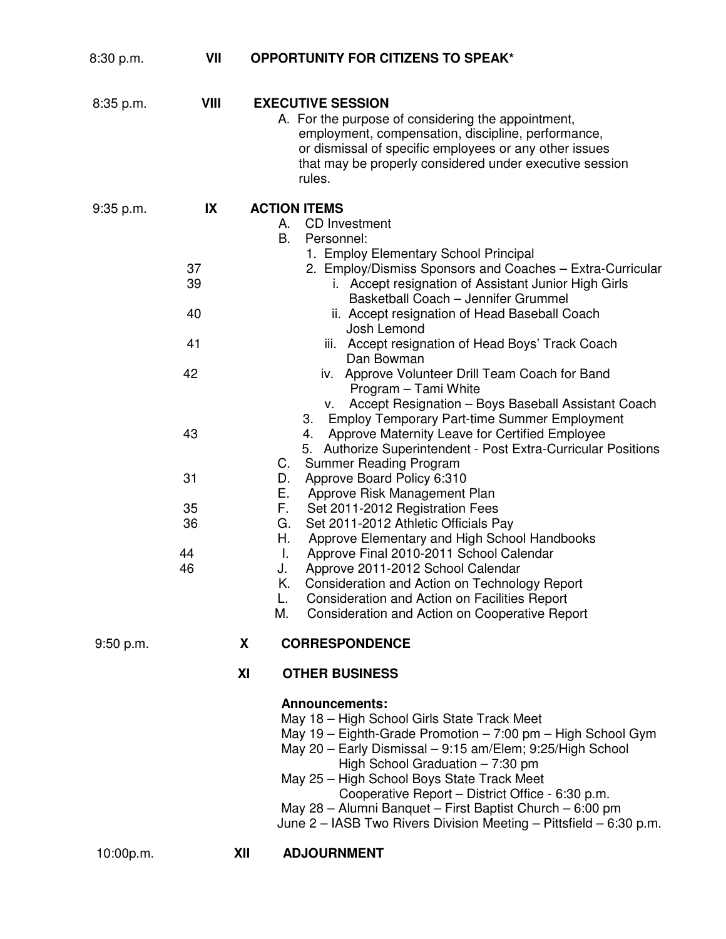| 8:30 p.m. | VII                                                                  | <b>OPPORTUNITY FOR CITIZENS TO SPEAK*</b>                                                                                                                                                                                                                                                                                                                                                                                                                                                                                                                                                                                                                                                                                                                                                                                                                                                                                                                                                                                                                                                                                                                                                                                                                                  |  |
|-----------|----------------------------------------------------------------------|----------------------------------------------------------------------------------------------------------------------------------------------------------------------------------------------------------------------------------------------------------------------------------------------------------------------------------------------------------------------------------------------------------------------------------------------------------------------------------------------------------------------------------------------------------------------------------------------------------------------------------------------------------------------------------------------------------------------------------------------------------------------------------------------------------------------------------------------------------------------------------------------------------------------------------------------------------------------------------------------------------------------------------------------------------------------------------------------------------------------------------------------------------------------------------------------------------------------------------------------------------------------------|--|
| 8:35 p.m. | VIII                                                                 | <b>EXECUTIVE SESSION</b><br>A. For the purpose of considering the appointment,<br>employment, compensation, discipline, performance,<br>or dismissal of specific employees or any other issues<br>that may be properly considered under executive session<br>rules.                                                                                                                                                                                                                                                                                                                                                                                                                                                                                                                                                                                                                                                                                                                                                                                                                                                                                                                                                                                                        |  |
| 9:35 p.m. | IX<br>37<br>39<br>40<br>41<br>42<br>43<br>31<br>35<br>36<br>44<br>46 | <b>ACTION ITEMS</b><br><b>CD</b> Investment<br>А.<br>В.<br>Personnel:<br>1. Employ Elementary School Principal<br>2. Employ/Dismiss Sponsors and Coaches - Extra-Curricular<br>i. Accept resignation of Assistant Junior High Girls<br>Basketball Coach - Jennifer Grummel<br>ii. Accept resignation of Head Baseball Coach<br>Josh Lemond<br>iii. Accept resignation of Head Boys' Track Coach<br>Dan Bowman<br>iv. Approve Volunteer Drill Team Coach for Band<br>Program - Tami White<br>Accept Resignation - Boys Baseball Assistant Coach<br>v.<br><b>Employ Temporary Part-time Summer Employment</b><br>3.<br>Approve Maternity Leave for Certified Employee<br>4.<br>5. Authorize Superintendent - Post Extra-Curricular Positions<br><b>Summer Reading Program</b><br>C.<br>Approve Board Policy 6:310<br>D.<br>Е.<br>Approve Risk Management Plan<br>F.<br>Set 2011-2012 Registration Fees<br>Set 2011-2012 Athletic Officials Pay<br>G.<br>Н.<br>Approve Elementary and High School Handbooks<br>I.<br>Approve Final 2010-2011 School Calendar<br>Approve 2011-2012 School Calendar<br>J.<br>Consideration and Action on Technology Report<br>Κ.<br>Consideration and Action on Facilities Report<br>L.<br>Consideration and Action on Cooperative Report<br>М. |  |
| 9:50 p.m. |                                                                      | <b>CORRESPONDENCE</b><br>X                                                                                                                                                                                                                                                                                                                                                                                                                                                                                                                                                                                                                                                                                                                                                                                                                                                                                                                                                                                                                                                                                                                                                                                                                                                 |  |
|           |                                                                      | XI<br><b>OTHER BUSINESS</b>                                                                                                                                                                                                                                                                                                                                                                                                                                                                                                                                                                                                                                                                                                                                                                                                                                                                                                                                                                                                                                                                                                                                                                                                                                                |  |
| 10:00p.m. |                                                                      | <b>Announcements:</b><br>May 18 - High School Girls State Track Meet<br>May 19 - Eighth-Grade Promotion - 7:00 pm - High School Gym<br>May 20 - Early Dismissal - 9:15 am/Elem; 9:25/High School<br>High School Graduation $-7:30$ pm<br>May 25 - High School Boys State Track Meet<br>Cooperative Report - District Office - 6:30 p.m.<br>May 28 - Alumni Banquet - First Baptist Church - 6:00 pm<br>June 2 – IASB Two Rivers Division Meeting – Pittsfield – 6:30 p.m.<br><b>ADJOURNMENT</b><br>XII                                                                                                                                                                                                                                                                                                                                                                                                                                                                                                                                                                                                                                                                                                                                                                     |  |
|           |                                                                      |                                                                                                                                                                                                                                                                                                                                                                                                                                                                                                                                                                                                                                                                                                                                                                                                                                                                                                                                                                                                                                                                                                                                                                                                                                                                            |  |